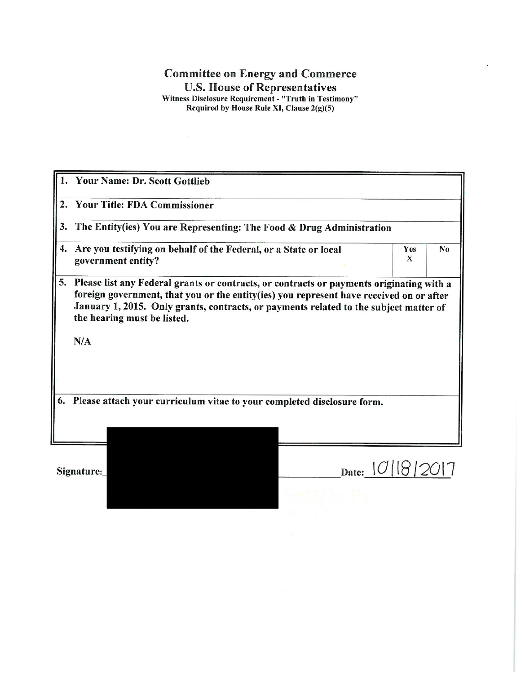## **Committee on Energy and Commerce** U.S. House of Representatives<br>Witness Disclosure Requirement - "Truth in Testimony"<br>Required by House Rule XI, Clause 2(g)(5)

|                                                                              | 1. Your Name: Dr. Scott Gottlieb                                                                                                                                                                                                                                                                                   |              |                 |                |  |
|------------------------------------------------------------------------------|--------------------------------------------------------------------------------------------------------------------------------------------------------------------------------------------------------------------------------------------------------------------------------------------------------------------|--------------|-----------------|----------------|--|
| $\overline{2}$ .                                                             | <b>Your Title: FDA Commissioner</b>                                                                                                                                                                                                                                                                                |              |                 |                |  |
| 3.                                                                           | The Entity(ies) You are Representing: The Food & Drug Administration                                                                                                                                                                                                                                               |              |                 |                |  |
| 4.                                                                           | Are you testifying on behalf of the Federal, or a State or local<br>government entity?                                                                                                                                                                                                                             |              | <b>Yes</b><br>X | N <sub>0</sub> |  |
| 5.                                                                           | Please list any Federal grants or contracts, or contracts or payments originating with a<br>foreign government, that you or the entity(ies) you represent have received on or after<br>January 1, 2015. Only grants, contracts, or payments related to the subject matter of<br>the hearing must be listed.<br>N/A |              |                 |                |  |
| Please attach your curriculum vitae to your completed disclosure form.<br>6. |                                                                                                                                                                                                                                                                                                                    |              |                 |                |  |
|                                                                              | Signature:                                                                                                                                                                                                                                                                                                         | Date: $\cup$ |                 |                |  |